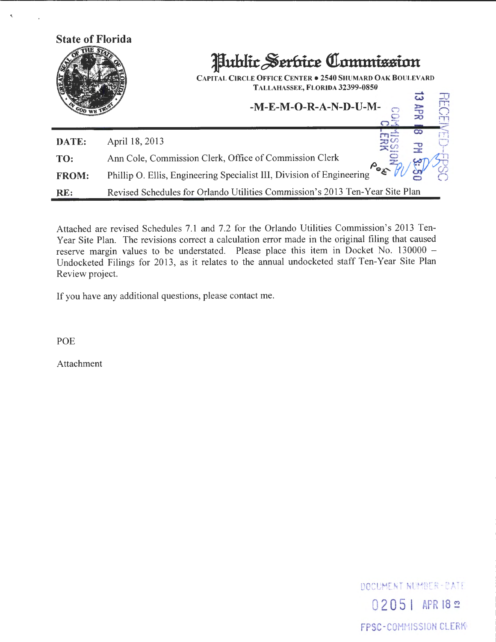

Attached are revised Schedules 7.1 and 7.2 for the Orlando Utilities Commission's 2013 Teny ear Site Plan. The revisions correct a calculation error made in the original filing that caused reserve margin values to be understated. Please place this item in Docket No. 130000 -Undocketed Filings for 2013, as it relates to the annual undocketed staff Ten-Year Site Plan Review project.

If you have any additional questions, please contact me.

POE

Attachment

DOCUMENT NUMBER-BATE 0 2 **0** 5 I APR 18 <sup>~</sup> FPSC-COMMISSION CLERK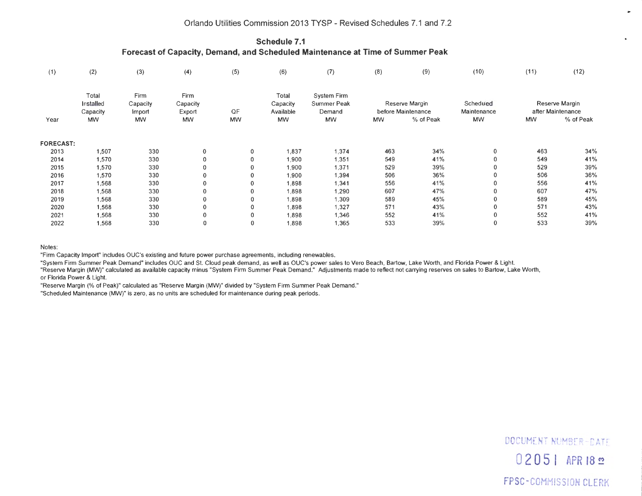**Schedule 7.1 Forecast of Capacity, Demand, and Scheduled Maintenance at Time of Summer Peak** 

| (1)              | (2)                                         | (3)                                     | (4)                                     | (5)             | (6)                                         | (7)                                               | (8)            | (9)                             | (10)                     | (11)           | (12)                           |
|------------------|---------------------------------------------|-----------------------------------------|-----------------------------------------|-----------------|---------------------------------------------|---------------------------------------------------|----------------|---------------------------------|--------------------------|----------------|--------------------------------|
| Year             | Total<br>Installed<br>Capacity<br><b>MW</b> | Firm<br>Capacity<br>import<br><b>MW</b> | Firm<br>Capacity<br>Export<br><b>MW</b> | QF<br><b>MW</b> | Total<br>Capacity<br>Available<br><b>MW</b> | System Firm<br>Summer Peak<br>Demand<br><b>MW</b> | Reserve Margin |                                 | Scheduled                | Reserve Margin |                                |
|                  |                                             |                                         |                                         |                 |                                             |                                                   | <b>MW</b>      | before Maintenance<br>% of Peak | Maintenance<br><b>MW</b> | <b>MW</b>      | after Maintenance<br>% of Peak |
|                  |                                             |                                         |                                         |                 |                                             |                                                   |                |                                 |                          |                |                                |
| <b>FORECAST:</b> |                                             |                                         |                                         |                 |                                             |                                                   |                |                                 |                          |                |                                |
| 2013             | 1,507                                       | 330                                     | $\mathbf{0}$                            | 0               | 1,837                                       | 1,374                                             | 463            | 34%                             | 0                        | 463            | 34%                            |
| 2014             | 1,570                                       | 330                                     | $\Omega$                                | 0               | 1,900                                       | 1,351                                             | 549            | 41%                             |                          | 549            | 41%                            |
| 2015             | 1,570                                       | 330                                     | 0                                       | 0               | 1,900                                       | 1,371                                             | 529            | 39%                             |                          | 529            | 39%                            |
| 2016             | 1,570                                       | 330                                     | 0                                       | 0               | 1,900                                       | 1,394                                             | 506            | 36%                             |                          | 506            | 36%                            |
| 2017             | 1,568                                       | 330                                     | 0                                       | 0               | 1,898                                       | 1,341                                             | 556            | 41%                             | 0                        | 556            | 41%                            |
| 2018             | 1,568                                       | 330                                     | 0                                       | 0               | 1,898                                       | 1,290                                             | 607            | 47%                             |                          | 607            | 47%                            |
| 2019             | 1,568                                       | 330                                     | 0                                       | 0               | 1,898                                       | 1,309                                             | 589            | 45%                             |                          | 589            | 45%                            |
| 2020             | 1,568                                       | 330                                     | 0                                       | 0               | 1,898                                       | 1,327                                             | 571            | 43%                             |                          | 571            | 43%                            |
| 2021             | 1,568                                       | 330                                     | 0                                       | 0               | 1,898                                       | 1,346                                             | 552            | 41%                             |                          | 552            | 41%                            |
| 2022             | 1,568                                       | 330                                     | 0                                       | 0               | 1,898                                       | 1,365                                             | 533            | 39%                             |                          | 533            | 39%                            |

Notes:

"Firm Capacity Import" includes OUC's existing and future power purchase agreements. including renewables.

"System Firm Summer Peak Demand" includes OUC and St. Cloud peak demand, as well as OUC's power sales to Vero Beach, Bartow, Lake Worth , and Florida Power & Light.

"Reserve Margin (MW)" calculated as available capacity minus "System Firm Summer Peak Demand." Adjustments made to reflect not carrying reserves on sales to Bartow, Lake Worth, or Florida Power & Light.

"Reserve Margin (% of Peak)" calculated as "Reserve Margin (MW)" divided by "System Firm Summer Peak Demand."

"Scheduled Maintenance (MW)" is zero, as no units are scheduled for maintenance during peak periods.